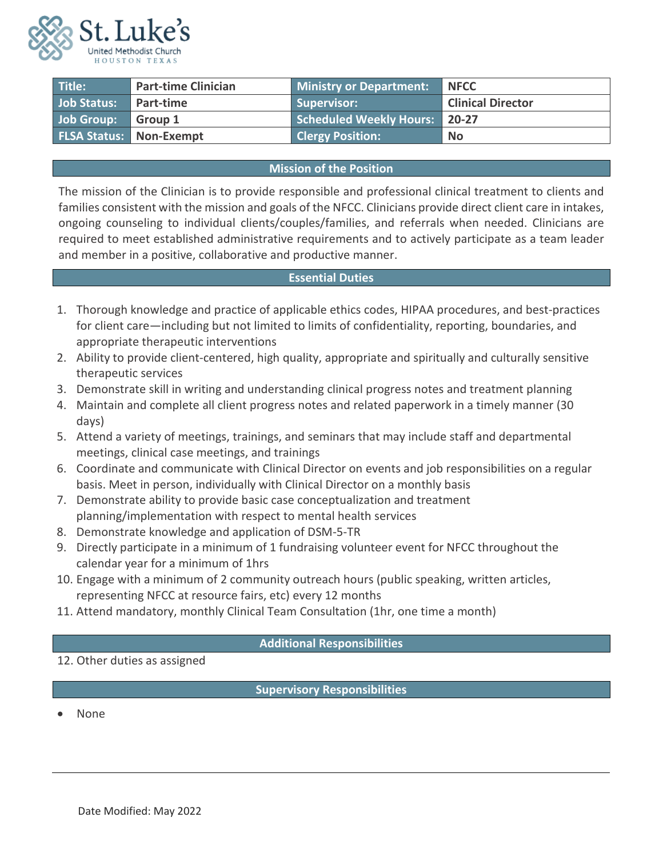

| Title:      | <b>Part-time Clinician</b>       | Ministry or Department:              | <b>NFCC</b>              |
|-------------|----------------------------------|--------------------------------------|--------------------------|
| Job Status: | <b>Part-time</b>                 | Supervisor:                          | <b>Clinical Director</b> |
| Job Group:  | Group 1                          | <b>Scheduled Weekly Hours:</b> 20-27 |                          |
|             | <b>FLSA Status:   Non-Exempt</b> | <b>Clergy Position:</b>              | <b>No</b>                |

## **Mission of the Position**

The mission of the Clinician is to provide responsible and professional clinical treatment to clients and families consistent with the mission and goals of the NFCC. Clinicians provide direct client care in intakes, ongoing counseling to individual clients/couples/families, and referrals when needed. Clinicians are required to meet established administrative requirements and to actively participate as a team leader and member in a positive, collaborative and productive manner.

# **Essential Duties**

- 1. Thorough knowledge and practice of applicable ethics codes, HIPAA procedures, and best-practices for client care—including but not limited to limits of confidentiality, reporting, boundaries, and appropriate therapeutic interventions
- 2. Ability to provide client-centered, high quality, appropriate and spiritually and culturally sensitive therapeutic services
- 3. Demonstrate skill in writing and understanding clinical progress notes and treatment planning
- 4. Maintain and complete all client progress notes and related paperwork in a timely manner (30 days)
- 5. Attend a variety of meetings, trainings, and seminars that may include staff and departmental meetings, clinical case meetings, and trainings
- 6. Coordinate and communicate with Clinical Director on events and job responsibilities on a regular basis. Meet in person, individually with Clinical Director on a monthly basis
- 7. Demonstrate ability to provide basic case conceptualization and treatment planning/implementation with respect to mental health services
- 8. Demonstrate knowledge and application of DSM-5-TR
- 9. Directly participate in a minimum of 1 fundraising volunteer event for NFCC throughout the calendar year for a minimum of 1hrs
- 10. Engage with a minimum of 2 community outreach hours (public speaking, written articles, representing NFCC at resource fairs, etc) every 12 months
- 11. Attend mandatory, monthly Clinical Team Consultation (1hr, one time a month)

## **Additional Responsibilities**

12. Other duties as assigned

**Supervisory Responsibilities**

• None